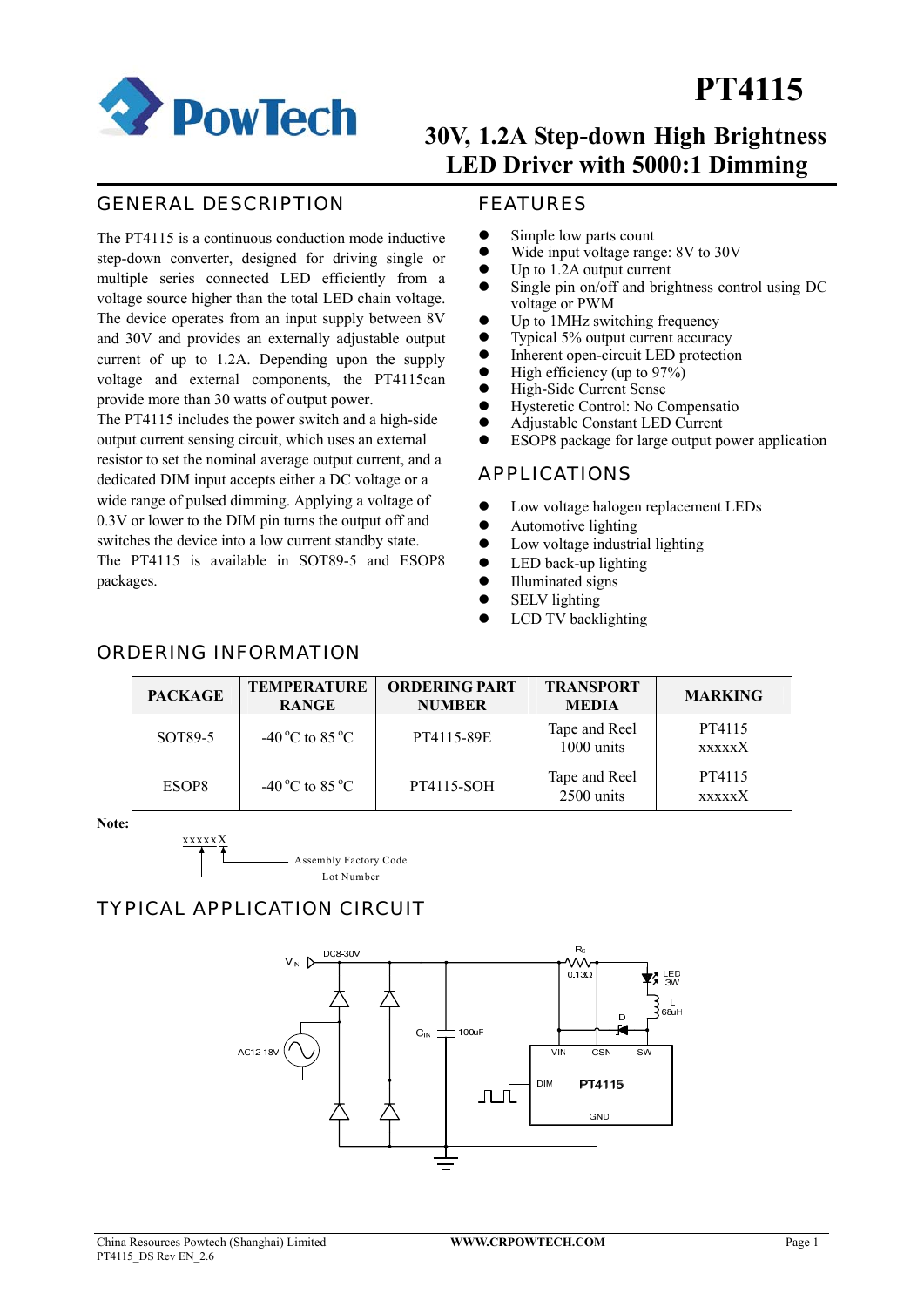

## **30V, 1.2A Step-down High Brightness LED Driver with 5000:1 Dimming**

### GENERAL DESCRIPTION

The PT4115 is a continuous conduction mode inductive step-down converter, designed for driving single or multiple series connected LED efficiently from a voltage source higher than the total LED chain voltage. The device operates from an input supply between 8V and 30V and provides an externally adjustable output current of up to 1.2A. Depending upon the supply voltage and external components, the PT4115can provide more than 30 watts of output power.

The PT4115 includes the power switch and a high-side output current sensing circuit, which uses an external resistor to set the nominal average output current, and a dedicated DIM input accepts either a DC voltage or a wide range of pulsed dimming. Applying a voltage of 0.3V or lower to the DIM pin turns the output off and switches the device into a low current standby state. The PT4115 is available in SOT89-5 and ESOP8 packages.

### FEATURES

- $\bullet$  Simple low parts count
- Wide input voltage range: 8V to 30V
- $\bullet$  Up to 1.2A output current
- $\bullet$  Single pin on/off and brightness control using DC voltage or PWM
- $\bullet$  Up to 1MHz switching frequency
- $\bullet$  Typical 5% output current accuracy
- Inherent open-circuit LED protection<br>• High efficiency (up to  $97\%$ )
- High efficiency (up to  $97\%$ )
- High-Side Current Sense
- Hysteretic Control: No Compensatio
- z Adjustable Constant LED Current
- ESOP8 package for large output power application

#### APPLICATIONS

- $\bullet$  Low voltage halogen replacement LEDs
- $\bullet$  Automotive lighting
- $\bullet$  Low voltage industrial lighting
- LED back-up lighting
- $\bullet$  Illuminated signs
- $\bullet$  SELV lighting
- LCD TV backlighting

# ORDERING INFORMATION

| <b>PACKAGE</b>      | <b>TEMPERATURE</b><br><b>RANGE</b> | <b>ORDERING PART</b><br><b>NUMBER</b> | <b>TRANSPORT</b><br><b>MEDIA</b> | <b>MARKING</b>          |
|---------------------|------------------------------------|---------------------------------------|----------------------------------|-------------------------|
| SOT <sub>89-5</sub> | $-40^{\circ}$ C to 85 $^{\circ}$ C | PT4115-89E                            | Tape and Reel<br>1000 units      | PT4115<br><b>xxxxxX</b> |
| ESOP8               | $-40^{\circ}$ C to 85 $^{\circ}$ C | PT4115-SOH                            | Tape and Reel<br>2500 units      | PT4115<br><b>xxxxx</b>  |

**Note:** 



### TYPICAL APPLICATION CIRCUIT

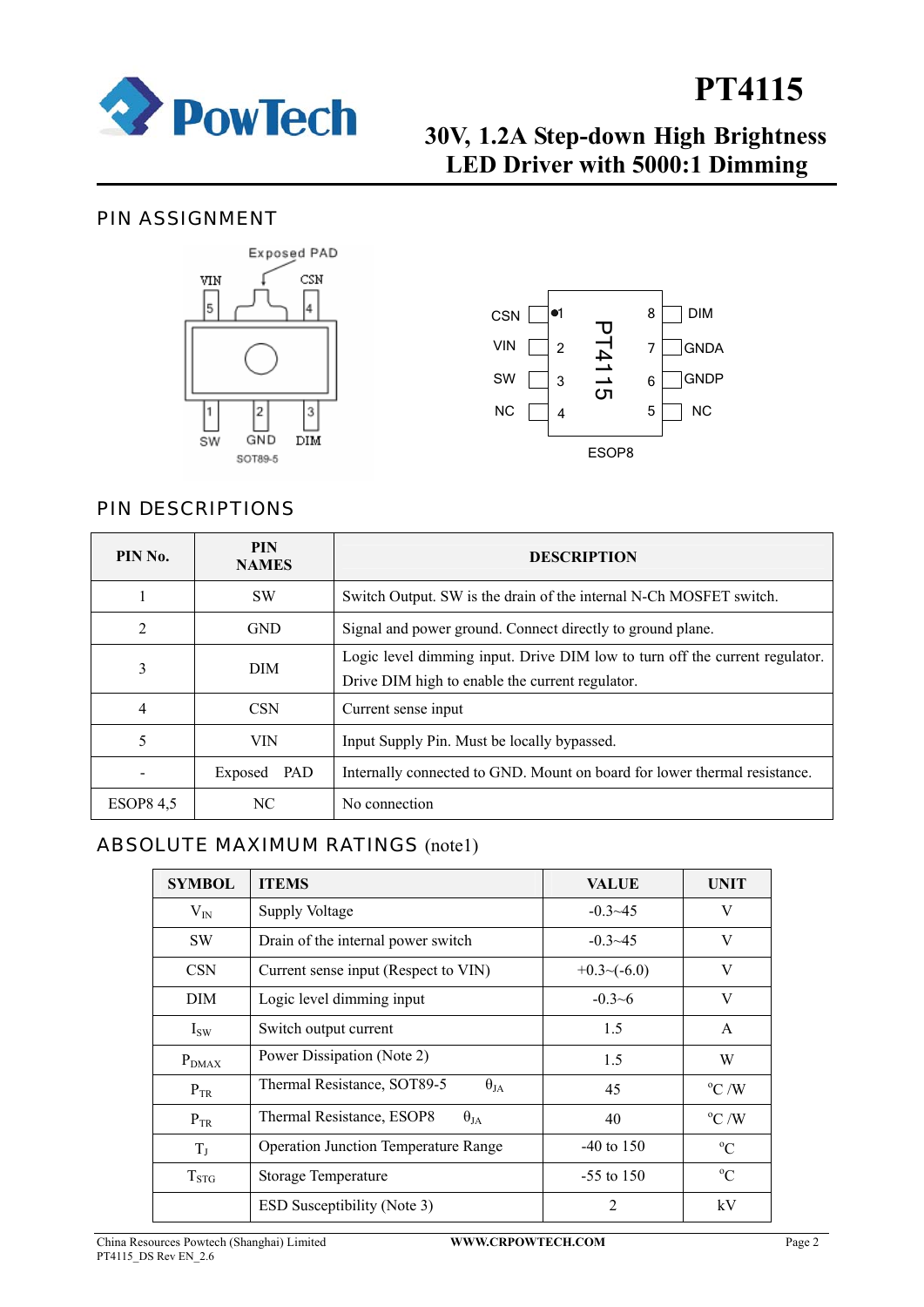

## **30V, 1.2A Step-down High Brightness LED Driver with 5000:1 Dimming**

### PIN ASSIGNMENT





### PIN DESCRIPTIONS

| PIN No.          | <b>PIN</b><br><b>NAMES</b> | <b>DESCRIPTION</b>                                                                                                             |
|------------------|----------------------------|--------------------------------------------------------------------------------------------------------------------------------|
|                  | <b>SW</b>                  | Switch Output. SW is the drain of the internal N-Ch MOSFET switch.                                                             |
| $\overline{2}$   | <b>GND</b>                 | Signal and power ground. Connect directly to ground plane.                                                                     |
| 3                | <b>DIM</b>                 | Logic level dimming input. Drive DIM low to turn off the current regulator.<br>Drive DIM high to enable the current regulator. |
| 4                | <b>CSN</b>                 | Current sense input                                                                                                            |
|                  | <b>VIN</b>                 | Input Supply Pin. Must be locally bypassed.                                                                                    |
|                  | Exposed<br>PAD             | Internally connected to GND. Mount on board for lower thermal resistance.                                                      |
| <b>ESOP8 4.5</b> | NC.                        | No connection                                                                                                                  |

### ABSOLUTE MAXIMUM RATINGS (note1)

| <b>SYMBOL</b> | <b>ITEMS</b>                                 | <b>VALUE</b>     | <b>UNIT</b>       |
|---------------|----------------------------------------------|------------------|-------------------|
| $V_{IN}$      | Supply Voltage                               | $-0.3 - 45$      | V                 |
| <b>SW</b>     | Drain of the internal power switch           | $-0.3 - 45$      | V                 |
| <b>CSN</b>    | Current sense input (Respect to VIN)         | $+0.3$ $-(-6.0)$ | V                 |
| DIM           | Logic level dimming input                    | $-0.3-6$         | V                 |
| $I_{SW}$      | Switch output current                        | 1.5              | $\mathsf{A}$      |
| $P_{DMAX}$    | Power Dissipation (Note 2)                   | 1.5              | W                 |
| $P_{TR}$      | Thermal Resistance, SOT89-5<br>$\theta_{JA}$ | 45               | $\rm ^{o}C$ /W    |
| $P_{TR}$      | Thermal Resistance, ESOP8<br>$\theta_{JA}$   | 40               | $\mathrm{^oC}$ /W |
| $T_{J}$       | <b>Operation Junction Temperature Range</b>  | $-40$ to $150$   | $^{\circ}C$       |
| $T_{STG}$     | Storage Temperature                          | $-55$ to 150     | $^{\circ}C$       |
|               | ESD Susceptibility (Note 3)                  | $\overline{c}$   | kV                |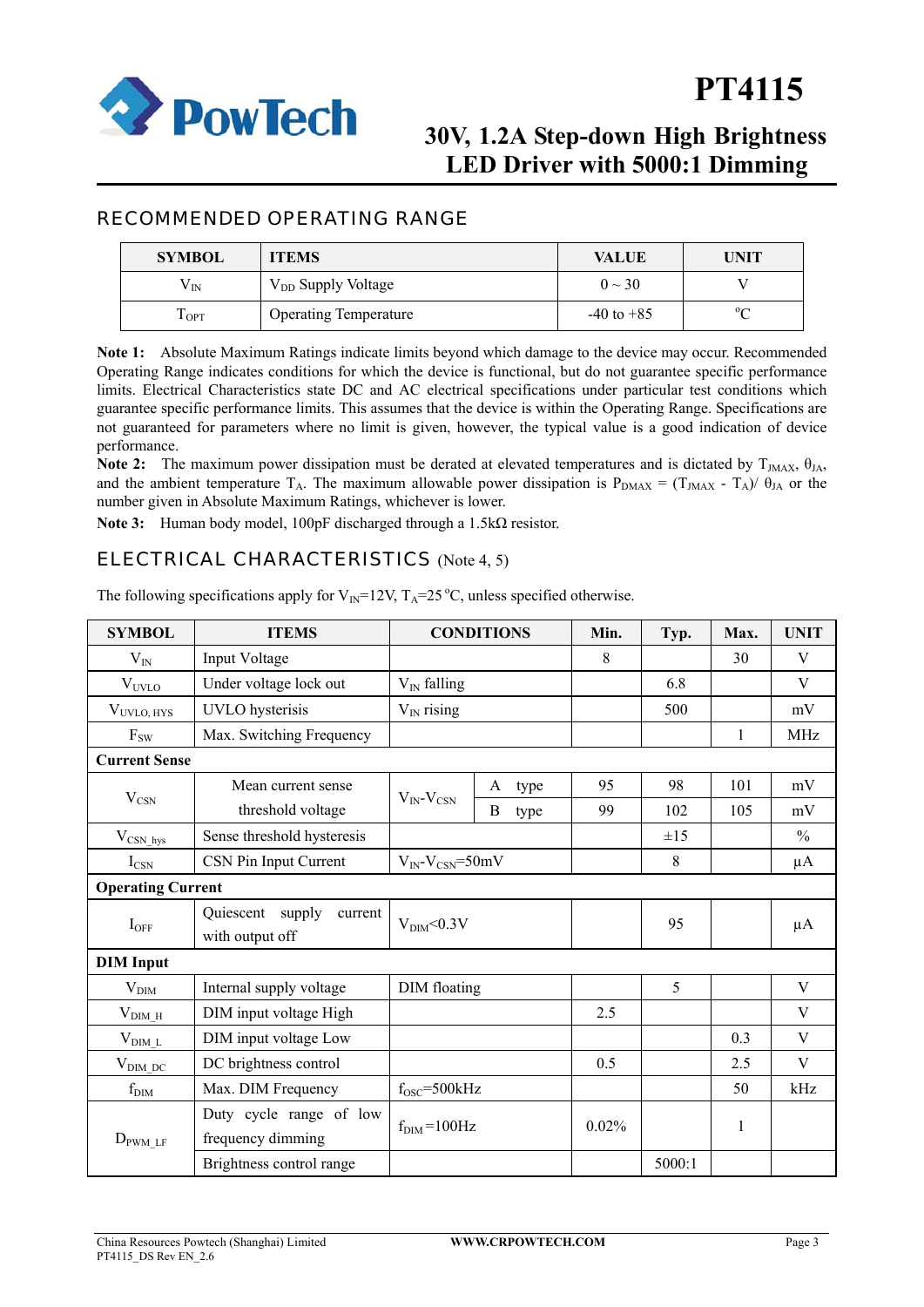

## **30V, 1.2A Step-down High Brightness LED Driver with 5000:1 Dimming**

### RECOMMENDED OPERATING RANGE

| <b>SYMBOL</b>         | <b>ITEMS</b>                   | <b>VALUE</b>   | UNIT   |
|-----------------------|--------------------------------|----------------|--------|
| $\mathsf{V}_{\rm IN}$ | V <sub>DD</sub> Supply Voltage | $0 \sim 30$    |        |
| $1_{\rm OPT}$         | <b>Operating Temperature</b>   | $-40$ to $+85$ | $\sim$ |

**Note 1:** Absolute Maximum Ratings indicate limits beyond which damage to the device may occur. Recommended Operating Range indicates conditions for which the device is functional, but do not guarantee specific performance limits. Electrical Characteristics state DC and AC electrical specifications under particular test conditions which guarantee specific performance limits. This assumes that the device is within the Operating Range. Specifications are not guaranteed for parameters where no limit is given, however, the typical value is a good indication of device performance.

**Note 2:** The maximum power dissipation must be derated at elevated temperatures and is dictated by  $T_{JMAX}$ ,  $\theta_{JA}$ , and the ambient temperature  $T_A$ . The maximum allowable power dissipation is  $P_{DMAX} = (T_{JMAX} - T_A)/\theta_{JA}$  or the number given in Absolute Maximum Ratings, whichever is lower.

**Note 3:** Human body model, 100pF discharged through a 1.5kΩ resistor.

### ELECTRICAL CHARACTERISTICS (Note 4, 5)

| <b>SYMBOL</b>            | <b>ITEMS</b>                                      |                                  | <b>CONDITIONS</b> |      | Min.  | Typ.     | Max.         | <b>UNIT</b>   |
|--------------------------|---------------------------------------------------|----------------------------------|-------------------|------|-------|----------|--------------|---------------|
| $V_{IN}$                 | Input Voltage                                     |                                  |                   |      | 8     |          | 30           | V             |
| $V_{UVLO}$               | Under voltage lock out                            | $V_{IN}$ falling                 |                   |      |       | 6.8      |              | V             |
| $V_{UVLO, HYS}$          | <b>UVLO</b> hysterisis                            | $V_{IN}$ rising                  |                   |      |       | 500      |              | mV            |
| $F_{SW}$                 | Max. Switching Frequency                          |                                  |                   |      |       |          | 1            | <b>MHz</b>    |
| <b>Current Sense</b>     |                                                   |                                  |                   |      |       |          |              |               |
|                          | Mean current sense                                |                                  | A                 | type | 95    | 98       | 101          | mV            |
| $V_{\rm CSN}$            | threshold voltage                                 | $V_{IN}$ - $V_{CSN}$             | B                 | type | 99    | 102      | 105          | mV            |
| $V_{\rm CSN\_hys}$       | Sense threshold hysteresis                        |                                  |                   |      |       | $\pm 15$ |              | $\frac{0}{0}$ |
| $I_{\text{CSN}}$         | CSN Pin Input Current                             | $V_{IN}$ - $V_{CNN}$ =50mV       |                   |      |       | 8        |              | $\mu A$       |
| <b>Operating Current</b> |                                                   |                                  |                   |      |       |          |              |               |
| $I_{OFF}$                | Quiescent<br>supply<br>current<br>with output off | V <sub>DIM</sub> <0.3V           |                   |      |       | 95       |              | $\mu A$       |
| <b>DIM</b> Input         |                                                   |                                  |                   |      |       |          |              |               |
| $V_{\text{DIM}}$         | Internal supply voltage                           | DIM floating                     |                   |      |       | 5        |              | V             |
| $V_{\text{DIM\_H}}$      | DIM input voltage High                            |                                  |                   |      | 2.5   |          |              | V             |
| $V_{\text{DIM}_L}$       | DIM input voltage Low                             |                                  |                   |      |       | 0.3      | V            |               |
| $V_{\text{DIM\_DC}}$     | DC brightness control                             |                                  |                   | 0.5  |       | 2.5      | V            |               |
| $f_{\text{DIM}}$         | Max. DIM Frequency                                | $f_{OSC} = 500kHz$               |                   |      |       |          | 50           | kHz           |
| $D_{\text{PWM LF}}$      | Duty cycle range of low<br>frequency dimming      | $f_{\text{DIM}} = 100 \text{Hz}$ |                   |      | 0.02% |          | $\mathbf{1}$ |               |
|                          | Brightness control range                          |                                  |                   |      |       | 5000:1   |              |               |

The following specifications apply for  $V_{IN}$ =12V,  $T_A$ =25 °C, unless specified otherwise.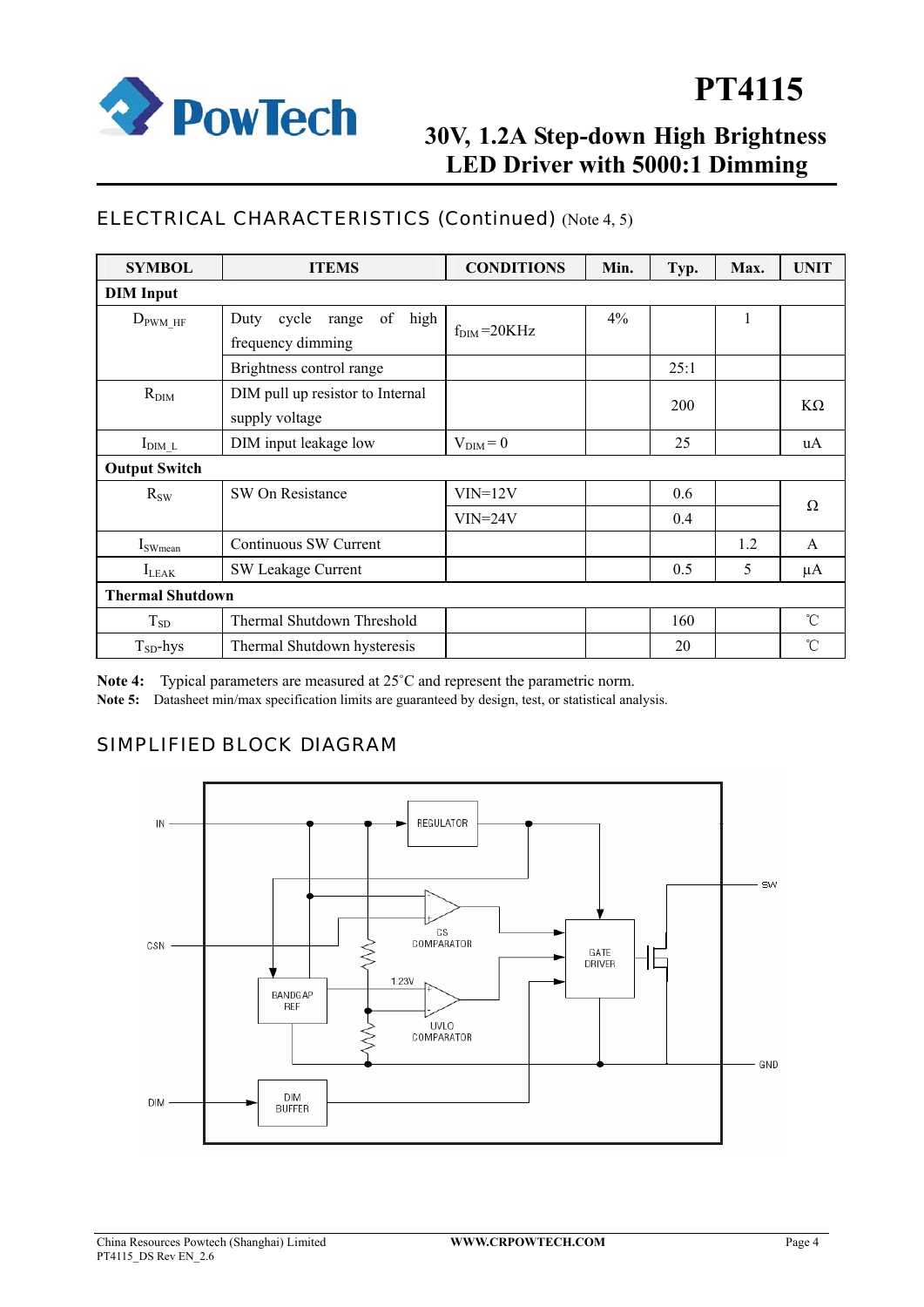

## **30V, 1.2A Step-down High Brightness LED Driver with 5000:1 Dimming**

### ELECTRICAL CHARACTERISTICS (Continued) (Note 4, 5)

| <b>SYMBOL</b>           | <b>ITEMS</b>                                              | <b>CONDITIONS</b>        | Min. | Typ. | Max. | <b>UNIT</b> |
|-------------------------|-----------------------------------------------------------|--------------------------|------|------|------|-------------|
| <b>DIM</b> Input        |                                                           |                          |      |      |      |             |
| $D_{\text{PWM\_HF}}$    | of<br>Duty<br>high<br>cycle<br>range<br>frequency dimming | $f_{\text{DIM}} = 20KHz$ | 4%   |      |      |             |
|                         | Brightness control range                                  |                          |      | 25:1 |      |             |
| $R_{\text{DIM}}$        | DIM pull up resistor to Internal<br>supply voltage        |                          |      | 200  |      | $K\Omega$   |
| $I_{\text{DIM}_L}$      | DIM input leakage low                                     | $V_{\text{DIM}}=0$       |      | 25   |      | uA          |
| <b>Output Switch</b>    |                                                           |                          |      |      |      |             |
| $R_{SW}$                | SW On Resistance                                          | $VIN=12V$                |      | 0.6  |      | Ω           |
|                         |                                                           | $VIN = 24V$              |      | 0.4  |      |             |
| $I_{\text{SWmean}}$     | Continuous SW Current                                     |                          |      |      | 1.2  | A           |
| $I_{LEAK}$              | <b>SW Leakage Current</b>                                 |                          |      | 0.5  | 5    | μA          |
| <b>Thermal Shutdown</b> |                                                           |                          |      |      |      |             |
| $T_{SD}$                | Thermal Shutdown Threshold                                |                          |      | 160  |      | °C          |
| $T_{SD}$ -hys           | Thermal Shutdown hysteresis                               |                          |      | 20   |      | °C          |

**Note 4:** Typical parameters are measured at 25˚C and represent the parametric norm.

**Note 5:** Datasheet min/max specification limits are guaranteed by design, test, or statistical analysis.

### SIMPLIFIED BLOCK DIAGRAM

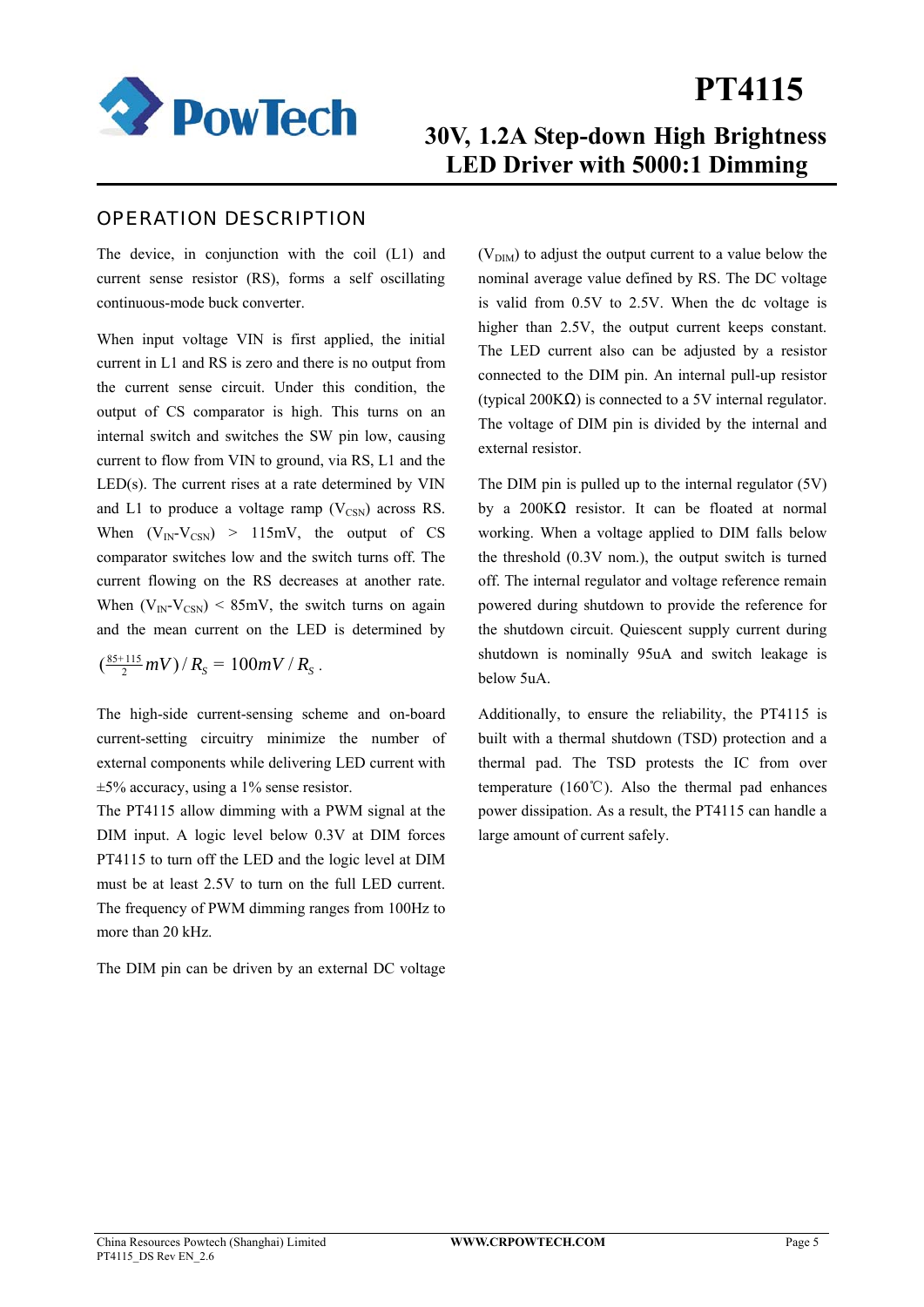

## **30V, 1.2A Step-down High Brightness LED Driver with 5000:1 Dimming**

### OPERATION DESCRIPTION

The device, in conjunction with the coil (L1) and current sense resistor (RS), forms a self oscillating continuous-mode buck converter.

When input voltage VIN is first applied, the initial current in L1 and RS is zero and there is no output from the current sense circuit. Under this condition, the output of CS comparator is high. This turns on an internal switch and switches the SW pin low, causing current to flow from VIN to ground, via RS, L1 and the  $LED(s)$ . The current rises at a rate determined by  $VIN$ and L1 to produce a voltage ramp  $(V_{\text{CSN}})$  across RS. When  $(V_{IN} - V_{CNN}) > 115mV$ , the output of CS comparator switches low and the switch turns off. The current flowing on the RS decreases at another rate. When  $(V_{IN} - V_{CNN})$  < 85mV, the switch turns on again and the mean current on the LED is determined by

 $\left(\frac{85+115}{2}mV\right)/R_s = 100mV/R_s$ .

The high-side current-sensing scheme and on-board current-setting circuitry minimize the number of external components while delivering LED current with ±5% accuracy, using a 1% sense resistor.

The PT4115 allow dimming with a PWM signal at the DIM input. A logic level below 0.3V at DIM forces PT4115 to turn off the LED and the logic level at DIM must be at least 2.5V to turn on the full LED current. The frequency of PWM dimming ranges from 100Hz to more than 20 kHz.

The DIM pin can be driven by an external DC voltage

 $(V<sub>DIM</sub>)$  to adjust the output current to a value below the nominal average value defined by RS. The DC voltage is valid from 0.5V to 2.5V. When the dc voltage is higher than 2.5V, the output current keeps constant. The LED current also can be adjusted by a resistor connected to the DIM pin. An internal pull-up resistor (typical 200KΩ) is connected to a 5V internal regulator. The voltage of DIM pin is divided by the internal and external resistor.

The DIM pin is pulled up to the internal regulator (5V) by a 200KΩ resistor. It can be floated at normal working. When a voltage applied to DIM falls below the threshold (0.3V nom.), the output switch is turned off. The internal regulator and voltage reference remain powered during shutdown to provide the reference for the shutdown circuit. Quiescent supply current during shutdown is nominally 95uA and switch leakage is below 5uA.

Additionally, to ensure the reliability, the PT4115 is built with a thermal shutdown (TSD) protection and a thermal pad. The TSD protests the IC from over temperature (160℃). Also the thermal pad enhances power dissipation. As a result, the PT4115 can handle a large amount of current safely.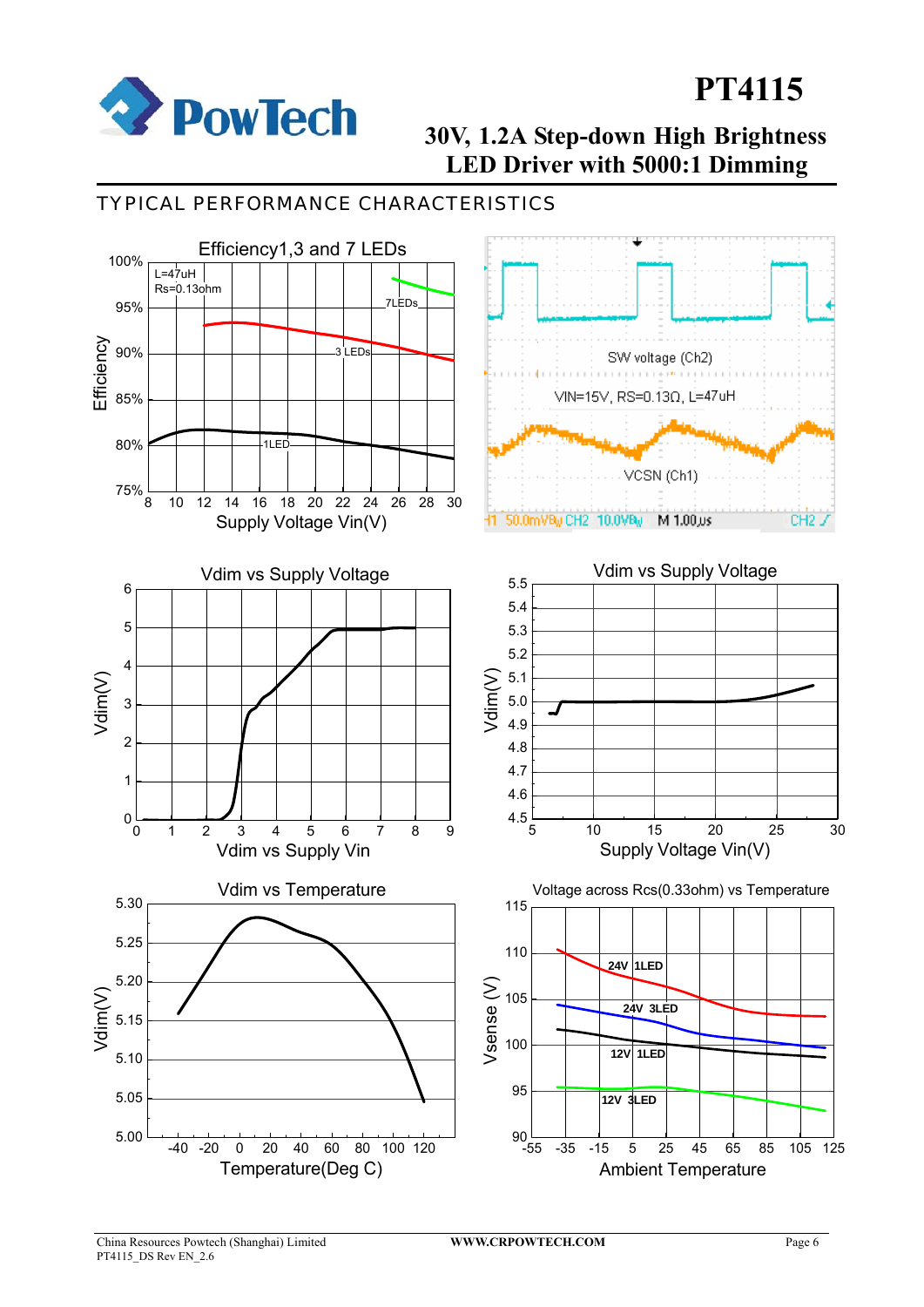

## **30V, 1.2A Step-down High Brightness LED Driver with 5000:1 Dimming**

### TYPICAL PERFORMANCE CHARACTERISTICS

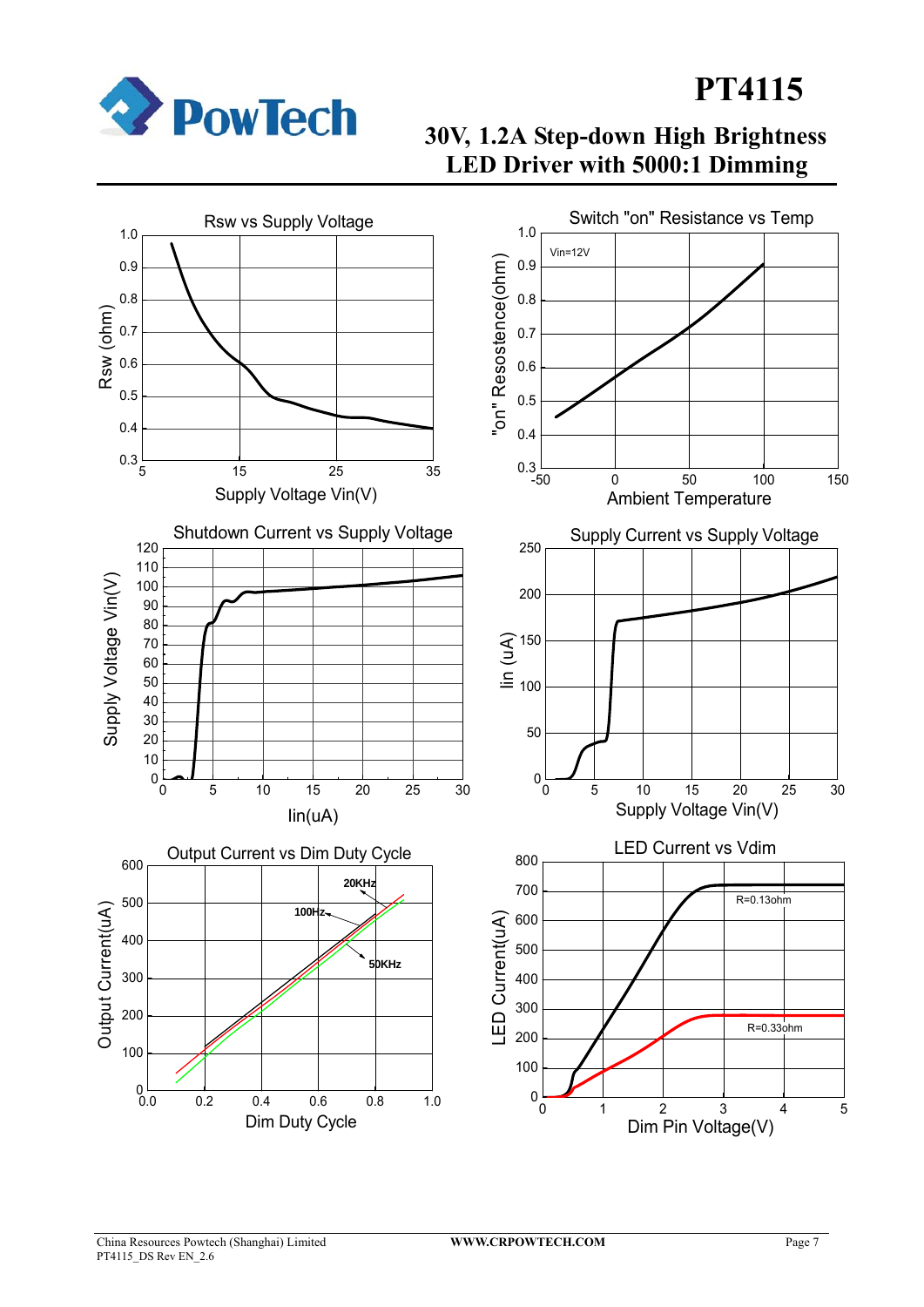

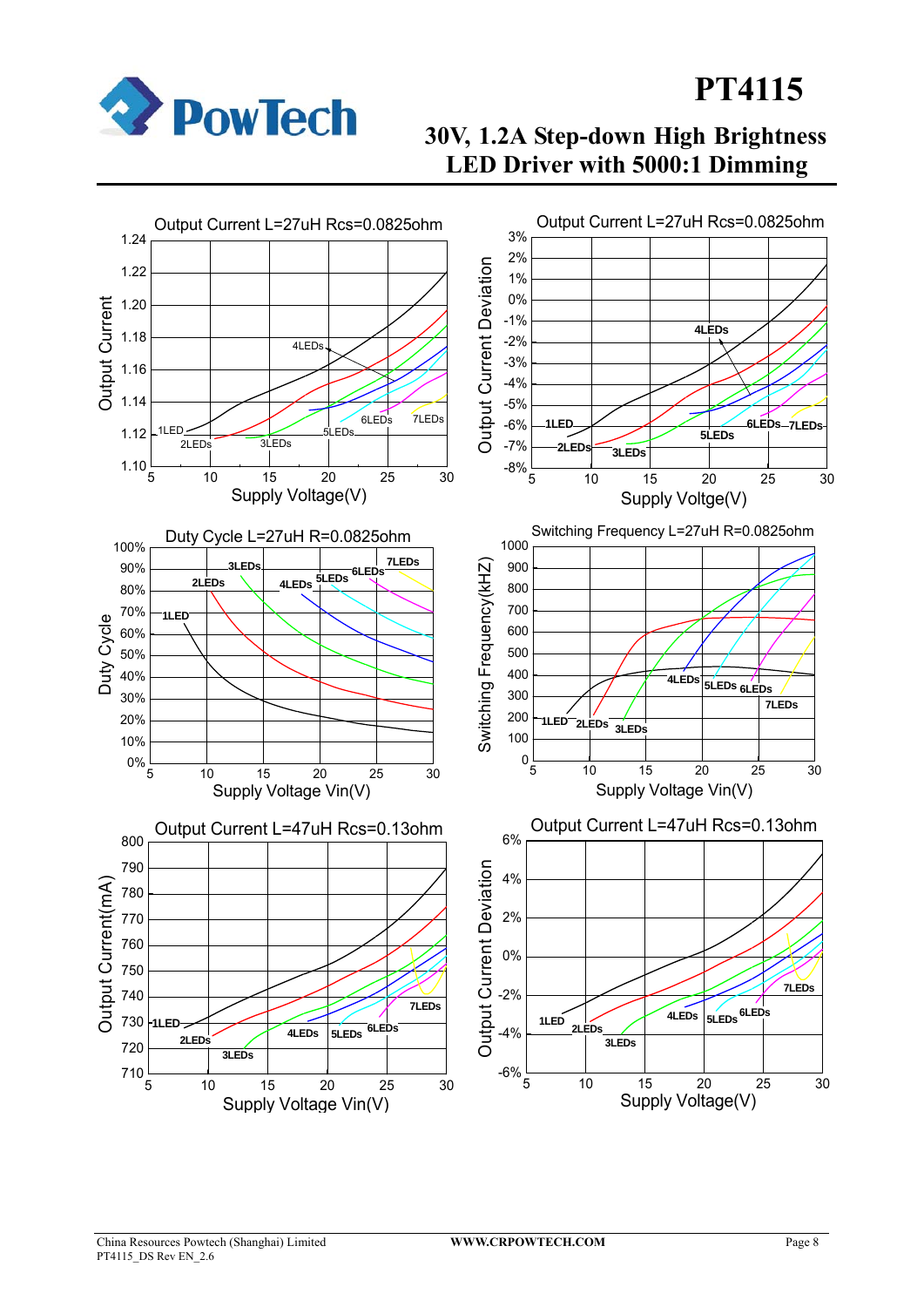

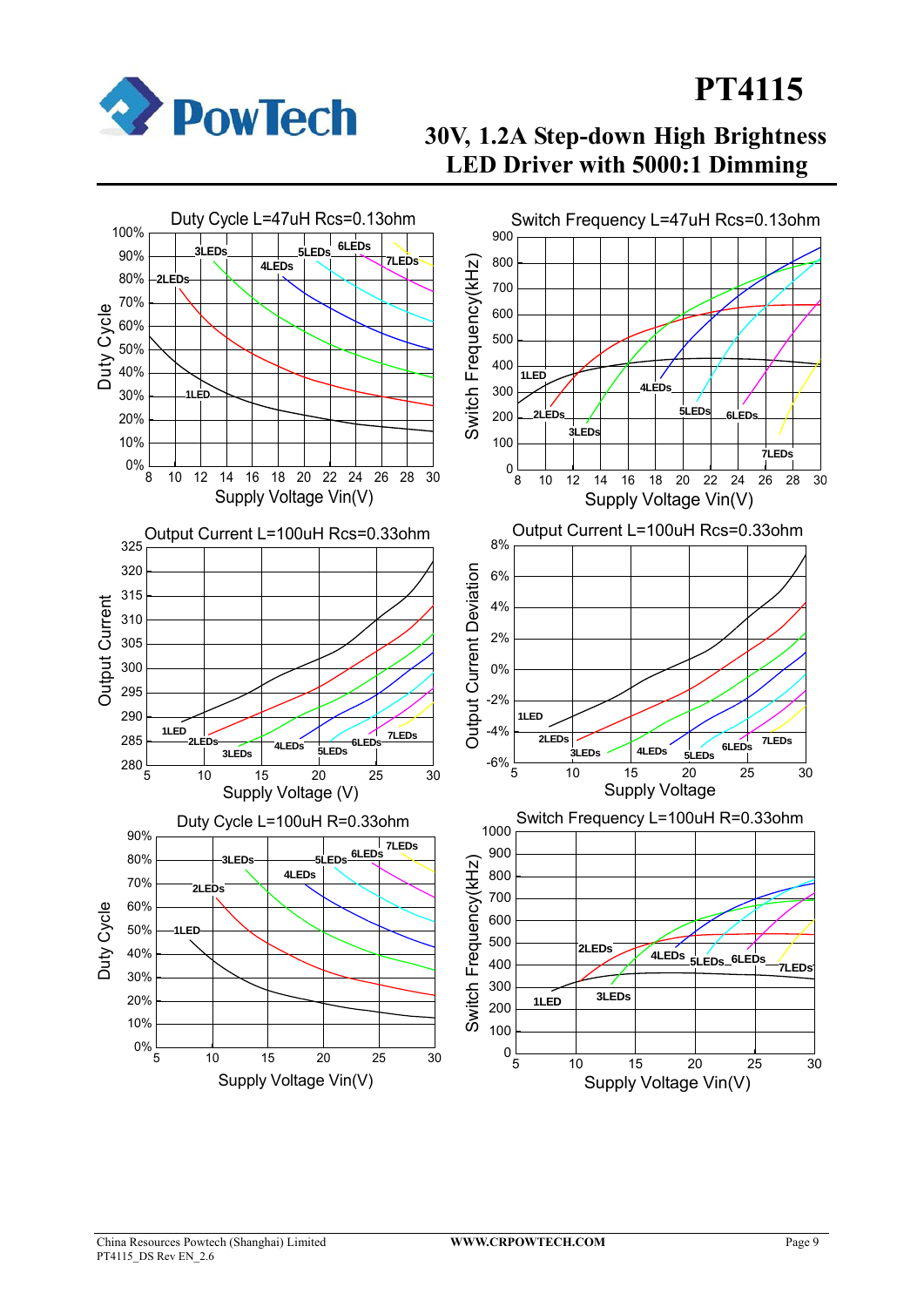

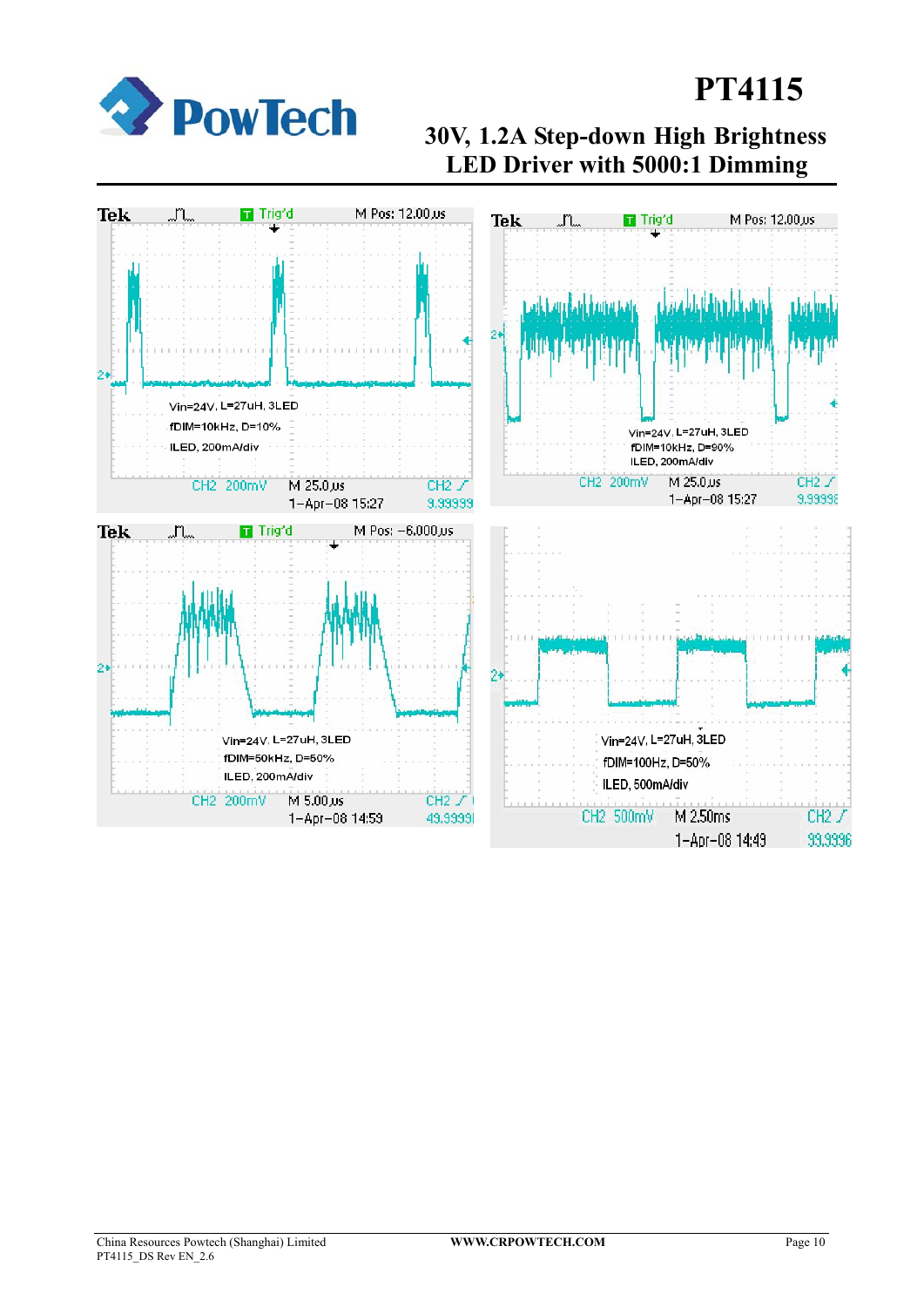

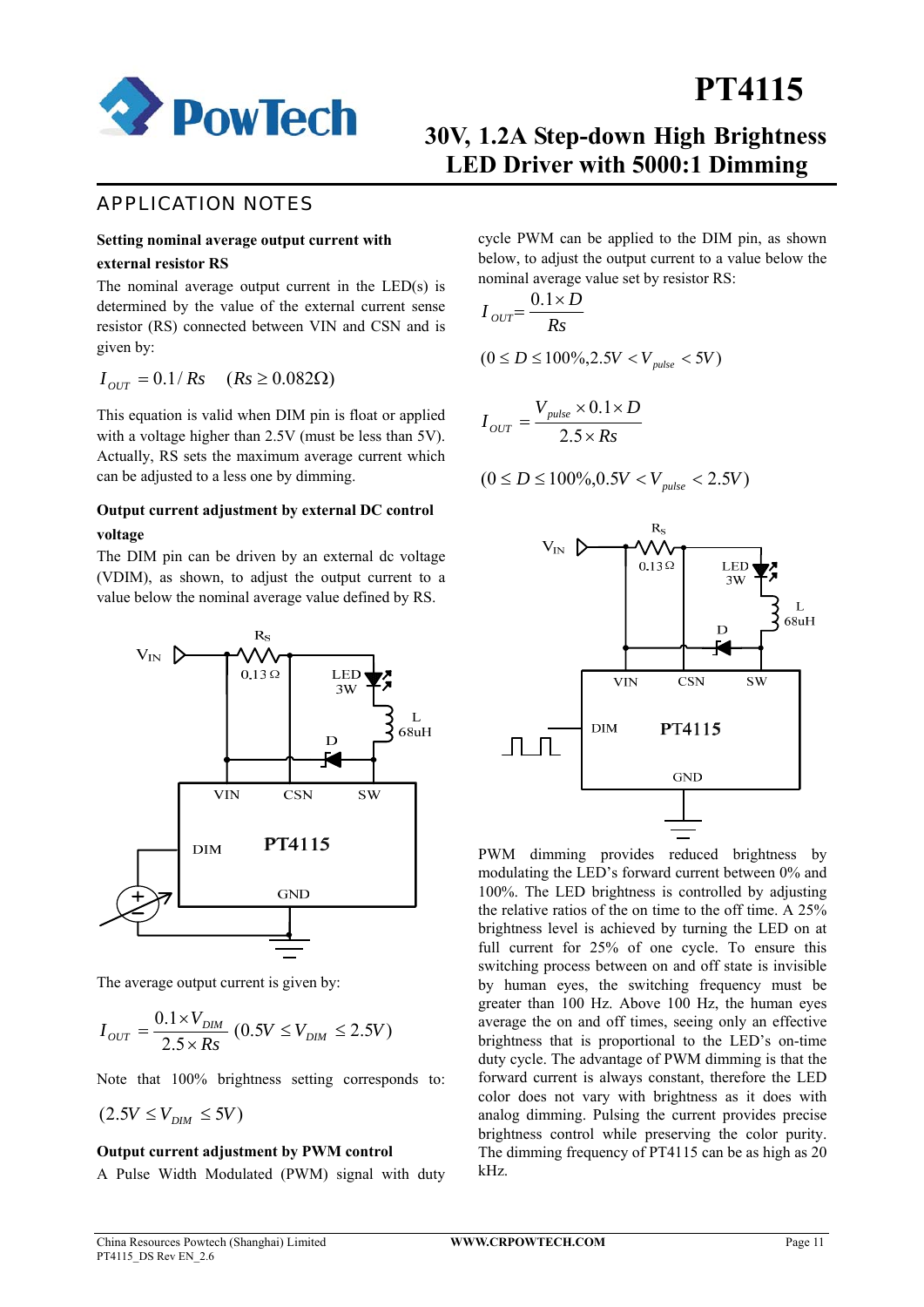

## **30V, 1.2A Step-down High Brightness LED Driver with 5000:1 Dimming**

### APPLICATION NOTES

#### **Setting nominal average output current with**

#### **external resistor RS**

The nominal average output current in the LED(s) is determined by the value of the external current sense resistor (RS) connected between VIN and CSN and is given by:

$$
I_{OUT} = 0.1 / Rs \quad (Rs \ge 0.082 \Omega)
$$

This equation is valid when DIM pin is float or applied with a voltage higher than 2.5V (must be less than 5V). Actually, RS sets the maximum average current which can be adjusted to a less one by dimming.

#### **Output current adjustment by external DC control voltage**

The DIM pin can be driven by an external dc voltage (VDIM), as shown, to adjust the output current to a value below the nominal average value defined by RS.



The average output current is given by:

$$
I_{OUT} = \frac{0.1 \times V_{DIM}}{2.5 \times Rs} (0.5V \le V_{DIM} \le 2.5V)
$$

Note that 100% brightness setting corresponds to:

$$
(2.5V \leq V_{DIM} \leq 5V)
$$

#### **Output current adjustment by PWM control**

A Pulse Width Modulated (PWM) signal with duty

cycle PWM can be applied to the DIM pin, as shown below, to adjust the output current to a value below the nominal average value set by resistor RS:

$$
I_{OUT} = \frac{0.1 \times D}{Rs}
$$
  
(0 \le D \le 100\%, 2.5V < V\_{pulse} < 5V)

$$
I_{OUT} = \frac{V_{pulse} \times 0.1 \times D}{2.5 \times Rs}
$$

$$
(0 \le D \le 100\%, 0.5V < V_{pulse} < 2.5V)
$$



PWM dimming provides reduced brightness by modulating the LED's forward current between 0% and 100%. The LED brightness is controlled by adjusting the relative ratios of the on time to the off time. A 25% brightness level is achieved by turning the LED on at full current for 25% of one cycle. To ensure this switching process between on and off state is invisible by human eyes, the switching frequency must be greater than 100 Hz. Above 100 Hz, the human eyes average the on and off times, seeing only an effective brightness that is proportional to the LED's on-time duty cycle. The advantage of PWM dimming is that the forward current is always constant, therefore the LED color does not vary with brightness as it does with analog dimming. Pulsing the current provides precise brightness control while preserving the color purity. The dimming frequency of PT4115 can be as high as 20 kHz.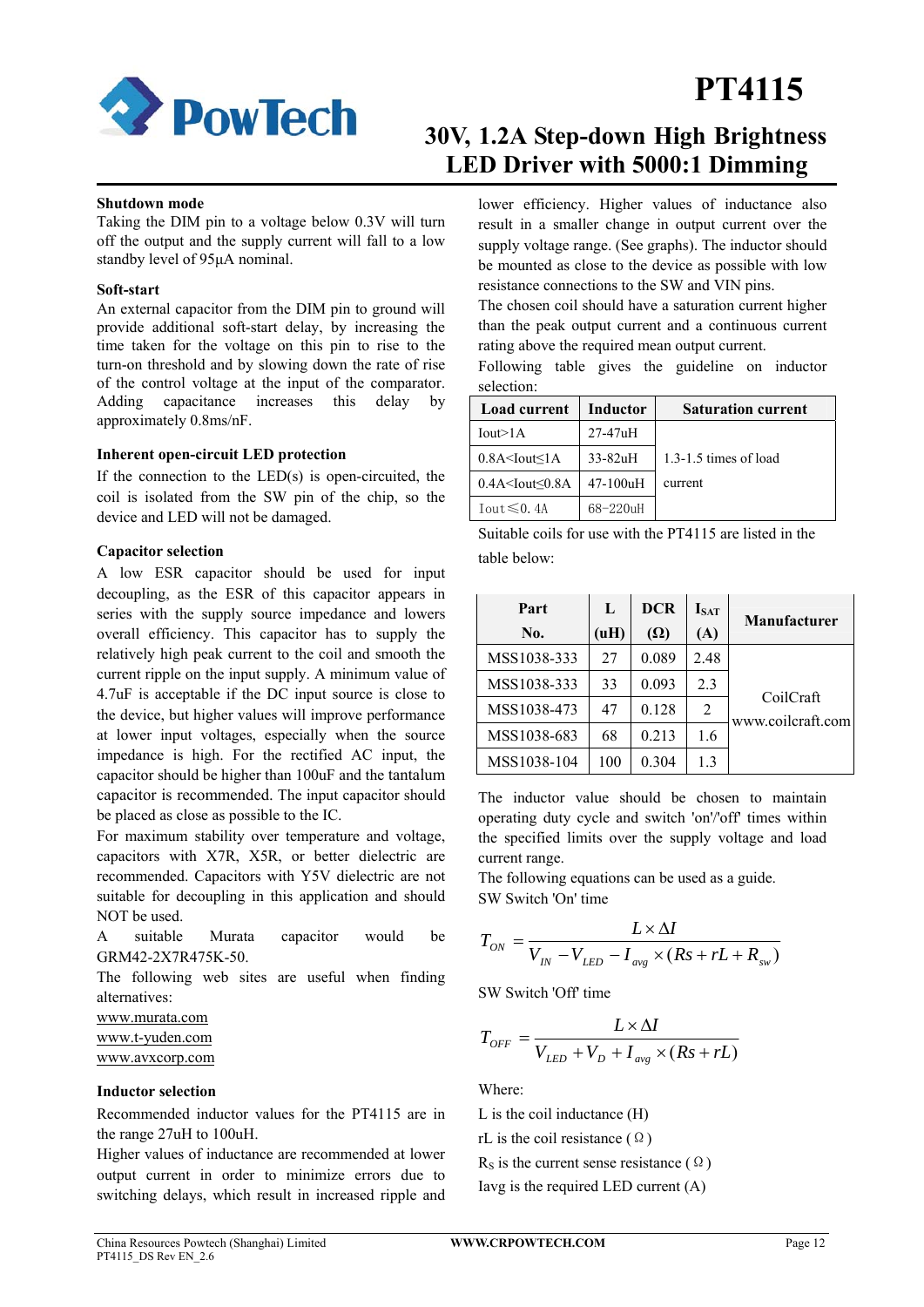

## **30V, 1.2A Step-down High Brightness LED Driver with 5000:1 Dimming**

#### **Shutdown mode**

Taking the DIM pin to a voltage below 0.3V will turn off the output and the supply current will fall to a low standby level of 95μA nominal.

#### **Soft-start**

An external capacitor from the DIM pin to ground will provide additional soft-start delay, by increasing the time taken for the voltage on this pin to rise to the turn-on threshold and by slowing down the rate of rise of the control voltage at the input of the comparator. Adding capacitance increases this delay by approximately 0.8ms/nF.

#### **Inherent open-circuit LED protection**

If the connection to the  $LED(s)$  is open-circuited, the coil is isolated from the SW pin of the chip, so the device and LED will not be damaged.

#### **Capacitor selection**

A low ESR capacitor should be used for input decoupling, as the ESR of this capacitor appears in series with the supply source impedance and lowers overall efficiency. This capacitor has to supply the relatively high peak current to the coil and smooth the current ripple on the input supply. A minimum value of 4.7uF is acceptable if the DC input source is close to the device, but higher values will improve performance at lower input voltages, especially when the source impedance is high. For the rectified AC input, the capacitor should be higher than 100uF and the tantalum capacitor is recommended. The input capacitor should be placed as close as possible to the IC.

For maximum stability over temperature and voltage, capacitors with X7R, X5R, or better dielectric are recommended. Capacitors with Y5V dielectric are not suitable for decoupling in this application and should NOT be used.

A suitable Murata capacitor would be GRM42-2X7R475K-50.

The following web sites are useful when finding alternatives:

www.murata.com www.t-yuden.com www.avxcorp.com

#### **Inductor selection**

Recommended inductor values for the PT4115 are in the range 27uH to 100uH.

Higher values of inductance are recommended at lower output current in order to minimize errors due to switching delays, which result in increased ripple and lower efficiency. Higher values of inductance also result in a smaller change in output current over the supply voltage range. (See graphs). The inductor should be mounted as close to the device as possible with low resistance connections to the SW and VIN pins.

The chosen coil should have a saturation current higher than the peak output current and a continuous current rating above the required mean output current.

Following table gives the guideline on inductor selection:

| <b>Load current</b>       | Inductor      | <b>Saturation current</b> |
|---------------------------|---------------|---------------------------|
| Iout>1A                   | $27-47uH$     |                           |
| $0.8A <$ Iout $\leq 1A$   | $33-82uH$     | 1.3-1.5 times of load     |
| $0.4A <$ Iout $\leq 0.8A$ | $47-100$ uH   | current                   |
| Iout ≤0.4A                | $68 - 220$ uH |                           |

Suitable coils for use with the PT4115 are listed in the table below:

| Part        | L    | <b>DCR</b> | $I_{SAT}$ | <b>Manufacturer</b>            |
|-------------|------|------------|-----------|--------------------------------|
| No.         | (uH) | $(\Omega)$ | (A)       |                                |
| MSS1038-333 | 27   | 0.089      | 2.48      |                                |
| MSS1038-333 | 33   | 0.093      | 2.3       |                                |
| MSS1038-473 | 47   | 0.128      | 2         | CoilCraft<br>www.coilcraft.com |
| MSS1038-683 | 68   | 0.213      | 1.6       |                                |
| MSS1038-104 | 100  | 0.304      | 1.3       |                                |

The inductor value should be chosen to maintain operating duty cycle and switch 'on'/'off' times within the specified limits over the supply voltage and load current range.

The following equations can be used as a guide. SW Switch 'On' time

$$
T_{ON} = \frac{L \times \Delta I}{V_{IN} - V_{LED} - I_{avg} \times (Rs + rL + R_{sw})}
$$

SW Switch 'Off' time

$$
T_{OFF} = \frac{L \times \Delta I}{V_{LED} + V_D + I_{avg} \times (Rs + rL)}
$$

Where:

L is the coil inductance (H)

rL is the coil resistance ( $\Omega$ )

 $R<sub>S</sub>$  is the current sense resistance ( $\Omega$ )

Iavg is the required LED current (A)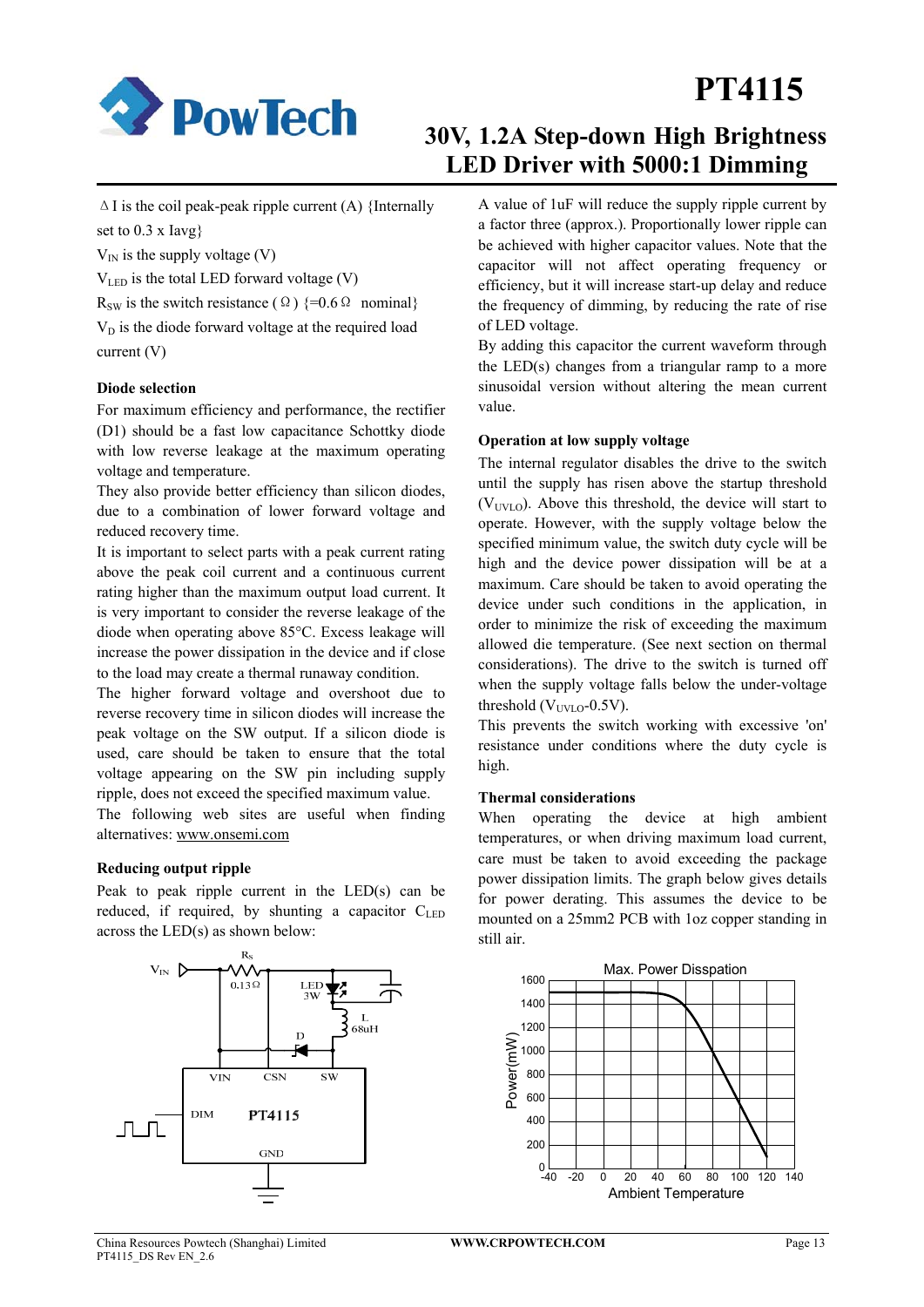

## **30V, 1.2A Step-down High Brightness LED Driver with 5000:1 Dimming**

 $\Delta$  I is the coil peak-peak ripple current (A) {Internally set to 0.3 x Iavg}

 $V_{IN}$  is the supply voltage (V)

VLED is the total LED forward voltage (V)

R<sub>SW</sub> is the switch resistance ( $\Omega$ ) {=0.6  $\Omega$  nominal}

 $V<sub>D</sub>$  is the diode forward voltage at the required load current (V)

#### **Diode selection**

For maximum efficiency and performance, the rectifier (D1) should be a fast low capacitance Schottky diode with low reverse leakage at the maximum operating voltage and temperature.

They also provide better efficiency than silicon diodes, due to a combination of lower forward voltage and reduced recovery time.

It is important to select parts with a peak current rating above the peak coil current and a continuous current rating higher than the maximum output load current. It is very important to consider the reverse leakage of the diode when operating above 85°C. Excess leakage will increase the power dissipation in the device and if close to the load may create a thermal runaway condition.

The higher forward voltage and overshoot due to reverse recovery time in silicon diodes will increase the peak voltage on the SW output. If a silicon diode is used, care should be taken to ensure that the total voltage appearing on the SW pin including supply ripple, does not exceed the specified maximum value.

The following web sites are useful when finding alternatives: www.onsemi.com

#### **Reducing output ripple**

Peak to peak ripple current in the LED(s) can be reduced, if required, by shunting a capacitor  $C_{\text{LED}}$ across the LED(s) as shown below:



A value of 1uF will reduce the supply ripple current by a factor three (approx.). Proportionally lower ripple can be achieved with higher capacitor values. Note that the capacitor will not affect operating frequency or efficiency, but it will increase start-up delay and reduce the frequency of dimming, by reducing the rate of rise of LED voltage.

By adding this capacitor the current waveform through the LED(s) changes from a triangular ramp to a more sinusoidal version without altering the mean current value.

#### **Operation at low supply voltage**

The internal regulator disables the drive to the switch until the supply has risen above the startup threshold  $(V<sub>UVLO</sub>)$ . Above this threshold, the device will start to operate. However, with the supply voltage below the specified minimum value, the switch duty cycle will be high and the device power dissipation will be at a maximum. Care should be taken to avoid operating the device under such conditions in the application, in order to minimize the risk of exceeding the maximum allowed die temperature. (See next section on thermal considerations). The drive to the switch is turned off when the supply voltage falls below the under-voltage threshold ( $V<sub>UNUO</sub>$ -0.5V).

This prevents the switch working with excessive 'on' resistance under conditions where the duty cycle is high.

#### **Thermal considerations**

When operating the device at high ambient temperatures, or when driving maximum load current, care must be taken to avoid exceeding the package power dissipation limits. The graph below gives details for power derating. This assumes the device to be mounted on a 25mm2 PCB with 1oz copper standing in still air.

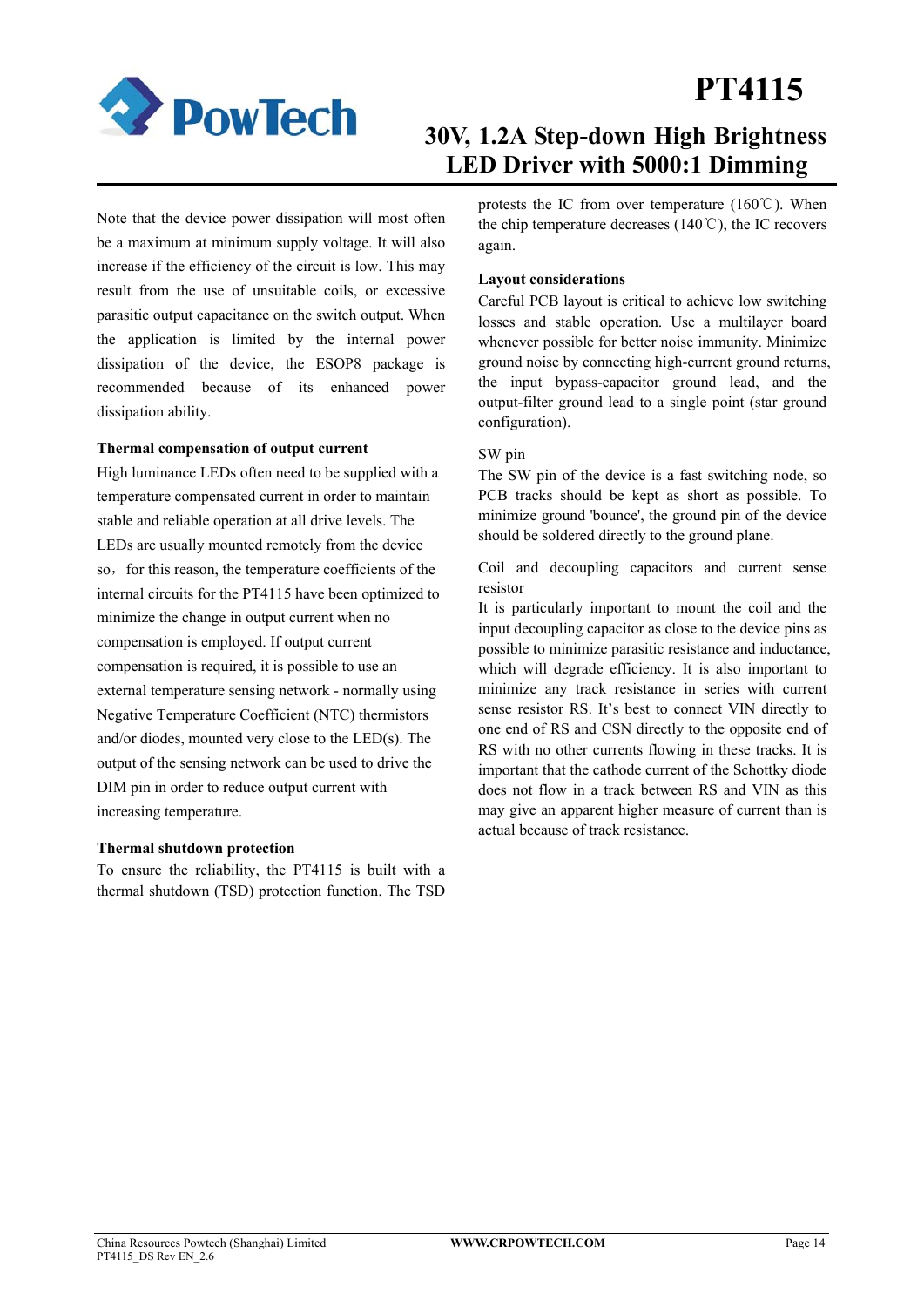

## **30V, 1.2A Step-down High Brightness LED Driver with 5000:1 Dimming**

Note that the device power dissipation will most often be a maximum at minimum supply voltage. It will also increase if the efficiency of the circuit is low. This may result from the use of unsuitable coils, or excessive parasitic output capacitance on the switch output. When the application is limited by the internal power dissipation of the device, the ESOP8 package is recommended because of its enhanced power dissipation ability.

#### **Thermal compensation of output current**

High luminance LEDs often need to be supplied with a temperature compensated current in order to maintain stable and reliable operation at all drive levels. The LEDs are usually mounted remotely from the device so, for this reason, the temperature coefficients of the internal circuits for the PT4115 have been optimized to minimize the change in output current when no compensation is employed. If output current compensation is required, it is possible to use an external temperature sensing network - normally using Negative Temperature Coefficient (NTC) thermistors and/or diodes, mounted very close to the LED(s). The output of the sensing network can be used to drive the DIM pin in order to reduce output current with increasing temperature.

#### **Thermal shutdown protection**

To ensure the reliability, the PT4115 is built with a thermal shutdown (TSD) protection function. The TSD protests the IC from over temperature (160℃). When the chip temperature decreases (140℃), the IC recovers again.

#### **Layout considerations**

Careful PCB layout is critical to achieve low switching losses and stable operation. Use a multilayer board whenever possible for better noise immunity. Minimize ground noise by connecting high-current ground returns, the input bypass-capacitor ground lead, and the output-filter ground lead to a single point (star ground configuration).

#### SW pin

The SW pin of the device is a fast switching node, so PCB tracks should be kept as short as possible. To minimize ground 'bounce', the ground pin of the device should be soldered directly to the ground plane.

Coil and decoupling capacitors and current sense resistor

It is particularly important to mount the coil and the input decoupling capacitor as close to the device pins as possible to minimize parasitic resistance and inductance, which will degrade efficiency. It is also important to minimize any track resistance in series with current sense resistor RS. It's best to connect VIN directly to one end of RS and CSN directly to the opposite end of RS with no other currents flowing in these tracks. It is important that the cathode current of the Schottky diode does not flow in a track between RS and VIN as this may give an apparent higher measure of current than is actual because of track resistance.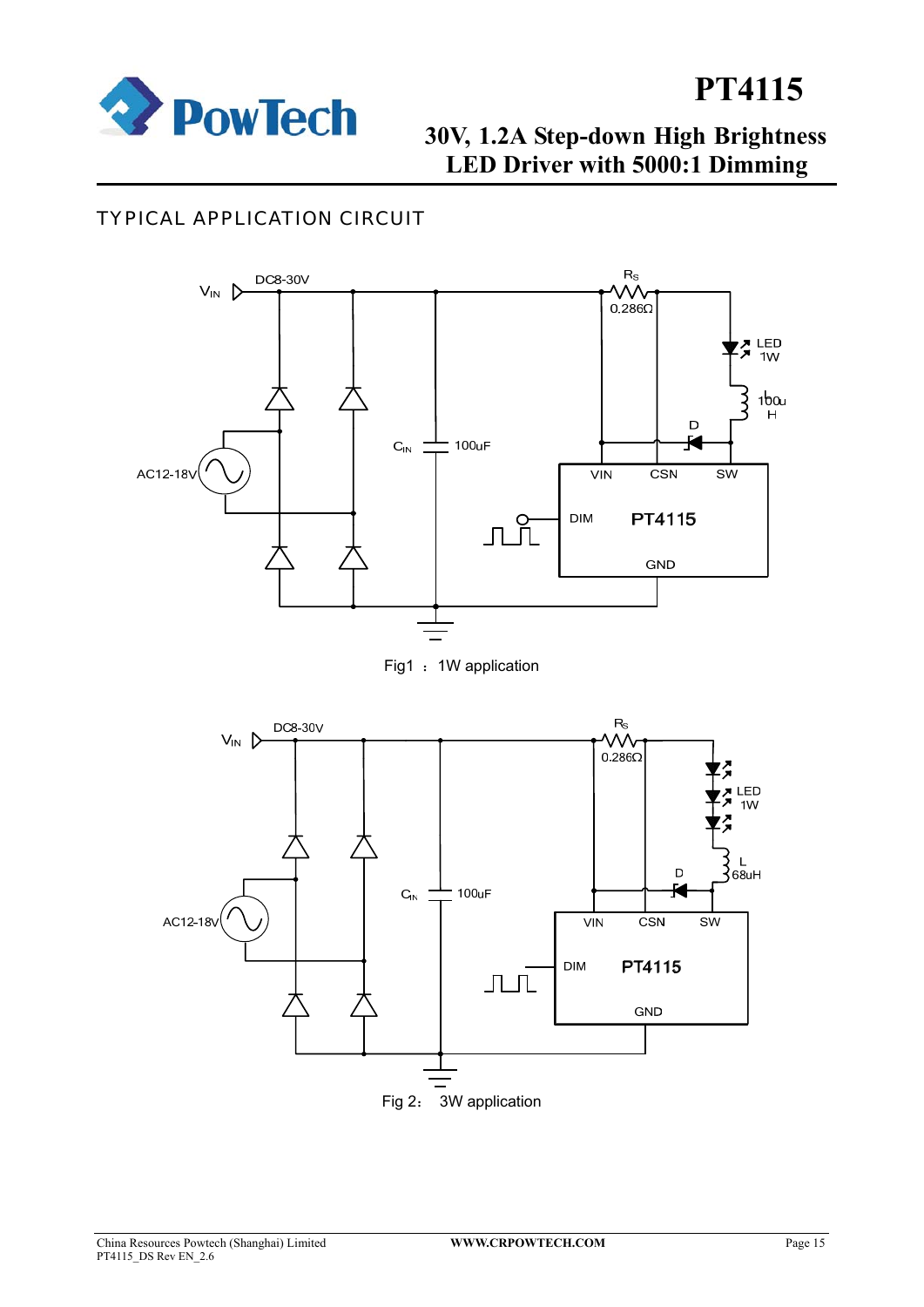

## **30V, 1.2A Step-down High Brightness LED Driver with 5000:1 Dimming**

### TYPICAL APPLICATION CIRCUIT



Fig1 : 1W application

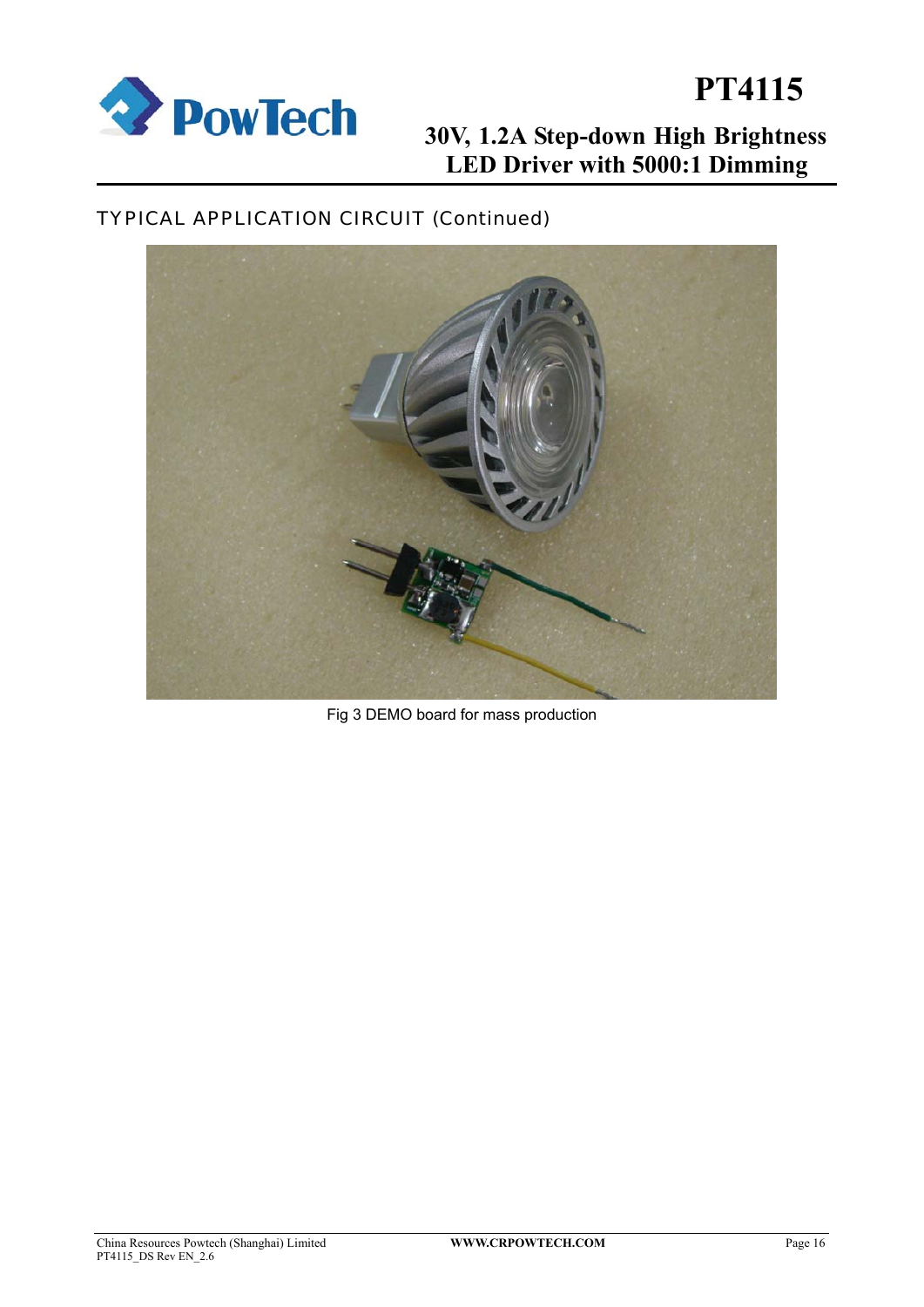

# **2008 POWTECH** 30V, 1.2A Step-down High Brightness **LED Driver with 5000:1 Dimming PT4115**

## TYPICAL APPLICATION CIRCUIT (Continued)



Fig 3 DEMO board for mass production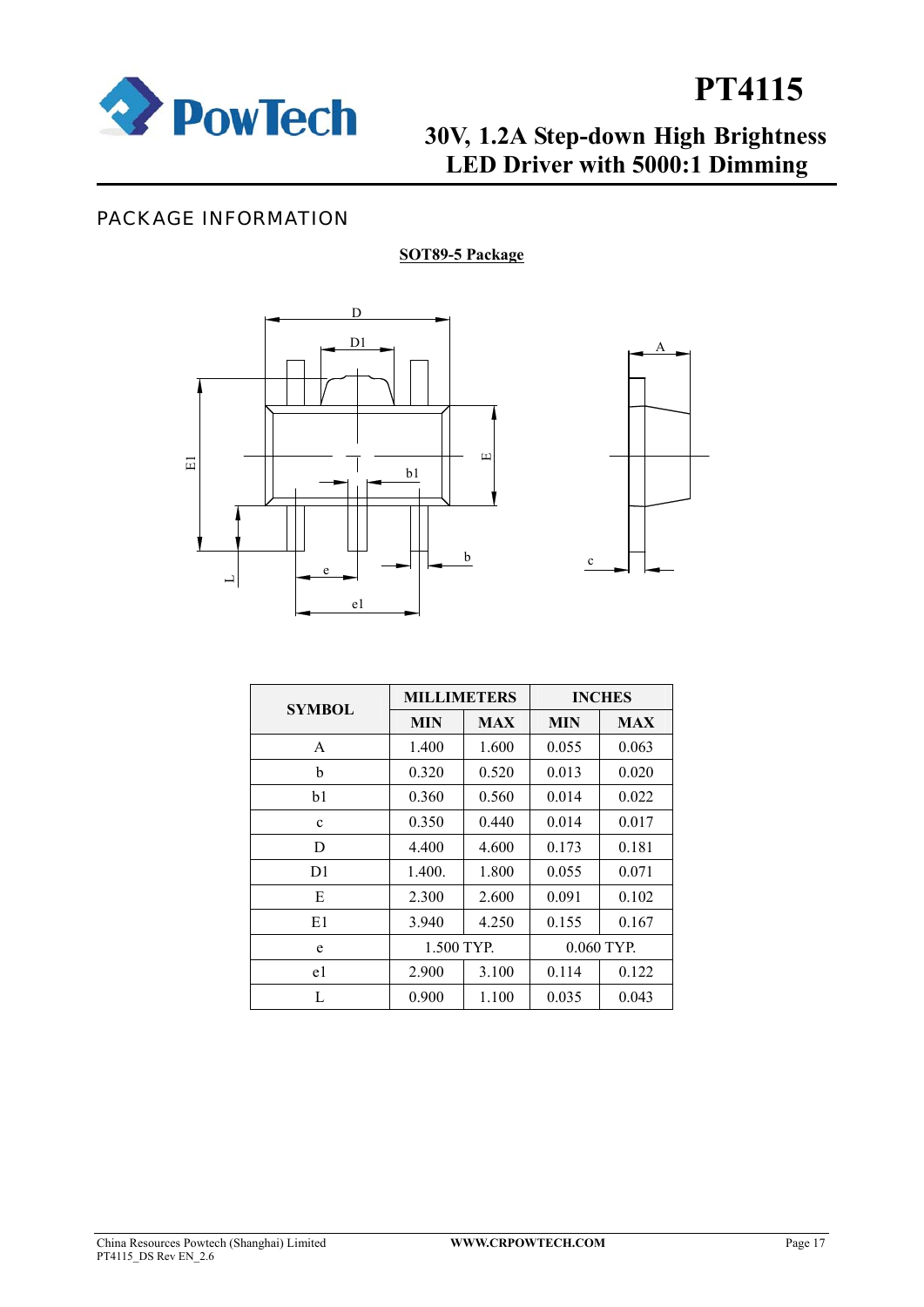

## **30V, 1.2A Step-down High Brightness LED Driver with 5000:1 Dimming**

### PACKAGE INFORMATION

### **SOT89-5 Package**





| <b>SYMBOL</b> | <b>MILLIMETERS</b> |            | <b>INCHES</b> |            |  |
|---------------|--------------------|------------|---------------|------------|--|
|               | <b>MIN</b>         | <b>MAX</b> | MIN           | <b>MAX</b> |  |
| A             | 1.400              | 1.600      | 0.055         | 0.063      |  |
| b             | 0.320              | 0.520      | 0.013         | 0.020      |  |
| b1            | 0.360              | 0.560      | 0.014         | 0.022      |  |
| $\mathbf{c}$  | 0.350              | 0.440      | 0.014         | 0.017      |  |
| D             | 4.400              | 4.600      | 0.173         | 0.181      |  |
| D1            | 1.400.             | 1.800      | 0.055         | 0.071      |  |
| E             | 2.300              | 2.600      | 0.091         | 0.102      |  |
| E1            | 3.940              | 4.250      | 0.155         | 0.167      |  |
| e             | 1.500 TYP.         |            |               | 0.060 TYP. |  |
| e1            | 2.900              | 3.100      | 0.114         | 0.122      |  |
| L             | 0.900              | 1.100      | 0.035         | 0.043      |  |